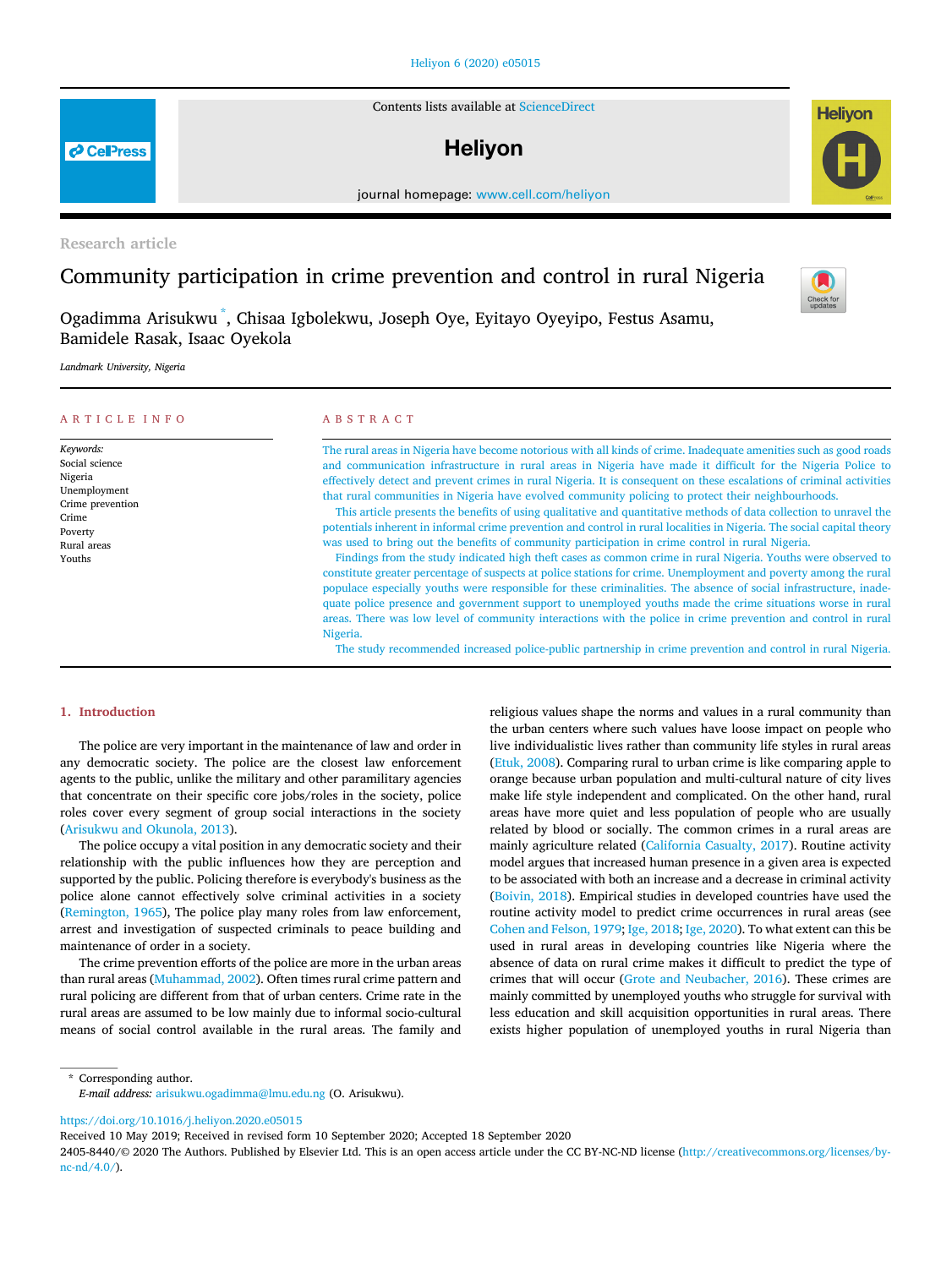## [Heliyon 6 \(2020\) e05015](https://doi.org/10.1016/j.heliyon.2020.e05015)

Contents lists available at [ScienceDirect](www.sciencedirect.com/science/journal/24058440)

# **Helivon**

journal homepage: [www.cell.com/heliyon](http://www.cell.com/heliyon)

Research article

## Community participation in crime prevention and control in rural Nigeria

Ogadimma Arisukwu [\\*](#page-0-0) , Chisaa Igbolekwu, Joseph Oye, Eyitayo Oyeyipo, Festus Asamu, Bamidele Rasak, Isaac Oyekola

Landmark University, Nigeria

| <b>ARTICLE INFO</b>                                                                                                     | ABSTRACT                                                                                                                                                                                                                                                                                                                                                                                                                                                                                                                                                                                                                                                                                                                                                                                                                                                                                                                                                                                                                                                                                                                                                                                                                                                                                                                                                                                                                                                                                                                              |
|-------------------------------------------------------------------------------------------------------------------------|---------------------------------------------------------------------------------------------------------------------------------------------------------------------------------------------------------------------------------------------------------------------------------------------------------------------------------------------------------------------------------------------------------------------------------------------------------------------------------------------------------------------------------------------------------------------------------------------------------------------------------------------------------------------------------------------------------------------------------------------------------------------------------------------------------------------------------------------------------------------------------------------------------------------------------------------------------------------------------------------------------------------------------------------------------------------------------------------------------------------------------------------------------------------------------------------------------------------------------------------------------------------------------------------------------------------------------------------------------------------------------------------------------------------------------------------------------------------------------------------------------------------------------------|
| Keywords:<br>Social science<br>Nigeria<br>Unemployment<br>Crime prevention<br>Crime<br>Poverty<br>Rural areas<br>Youths | The rural areas in Nigeria have become notorious with all kinds of crime. Inadequate amenities such as good roads<br>and communication infrastructure in rural areas in Nigeria have made it difficult for the Nigeria Police to<br>effectively detect and prevent crimes in rural Nigeria. It is consequent on these escalations of criminal activities<br>that rural communities in Nigeria have evolved community policing to protect their neighbourhoods.<br>This article presents the benefits of using qualitative and quantitative methods of data collection to unravel the<br>potentials inherent in informal crime prevention and control in rural localities in Nigeria. The social capital theory<br>was used to bring out the benefits of community participation in crime control in rural Nigeria.<br>Findings from the study indicated high theft cases as common crime in rural Nigeria. Youths were observed to<br>constitute greater percentage of suspects at police stations for crime. Unemployment and poverty among the rural<br>populace especially youths were responsible for these criminalities. The absence of social infrastructure, inade-<br>quate police presence and government support to unemployed youths made the crime situations worse in rural<br>areas. There was low level of community interactions with the police in crime prevention and control in rural<br>Nigeria.<br>The study recommended increased police-public partnership in crime prevention and control in rural Nigeria. |

## 1. Introduction

The police are very important in the maintenance of law and order in any democratic society. The police are the closest law enforcement agents to the public, unlike the military and other paramilitary agencies that concentrate on their specific core jobs/roles in the society, police roles cover every segment of group social interactions in the society ([Arisukwu and Okunola, 2013\)](#page-6-0).

The police occupy a vital position in any democratic society and their relationship with the public influences how they are perception and supported by the public. Policing therefore is everybody's business as the police alone cannot effectively solve criminal activities in a society ([Remington, 1965\)](#page-6-1), The police play many roles from law enforcement, arrest and investigation of suspected criminals to peace building and maintenance of order in a society.

The crime prevention efforts of the police are more in the urban areas than rural areas [\(Muhammad, 2002](#page-6-2)). Often times rural crime pattern and rural policing are different from that of urban centers. Crime rate in the rural areas are assumed to be low mainly due to informal socio-cultural means of social control available in the rural areas. The family and religious values shape the norms and values in a rural community than the urban centers where such values have loose impact on people who live individualistic lives rather than community life styles in rural areas ([Etuk, 2008\)](#page-6-3). Comparing rural to urban crime is like comparing apple to orange because urban population and multi-cultural nature of city lives make life style independent and complicated. On the other hand, rural areas have more quiet and less population of people who are usually related by blood or socially. The common crimes in a rural areas are mainly agriculture related [\(California Casualty, 2017\)](#page-6-4). Routine activity model argues that increased human presence in a given area is expected to be associated with both an increase and a decrease in criminal activity ([Boivin, 2018\)](#page-6-5). Empirical studies in developed countries have used the routine activity model to predict crime occurrences in rural areas (see [Cohen and Felson, 1979](#page-6-6); [Ige, 2018](#page-6-7); [Ige, 2020](#page-6-8)). To what extent can this be used in rural areas in developing countries like Nigeria where the absence of data on rural crime makes it difficult to predict the type of crimes that will occur ([Grote and Neubacher, 2016\)](#page-6-9). These crimes are mainly committed by unemployed youths who struggle for survival with less education and skill acquisition opportunities in rural areas. There exists higher population of unemployed youths in rural Nigeria than

<span id="page-0-0"></span>\* Corresponding author. E-mail address: [arisukwu.ogadimma@lmu.edu.ng](mailto:arisukwu.ogadimma@lmu.edu.ng) (O. Arisukwu).

<https://doi.org/10.1016/j.heliyon.2020.e05015>

Received 10 May 2019; Received in revised form 10 September 2020; Accepted 18 September 2020

2405-8440/© 2020 The Authors. Published by Elsevier Ltd. This is an open access article under the CC BY-NC-ND license [\(http://creativecommons.org/licenses/by](http://creativecommons.org/licenses/by-nc-nd/4.0/) $nc-nd/4.0/$ ).





**P** CellPress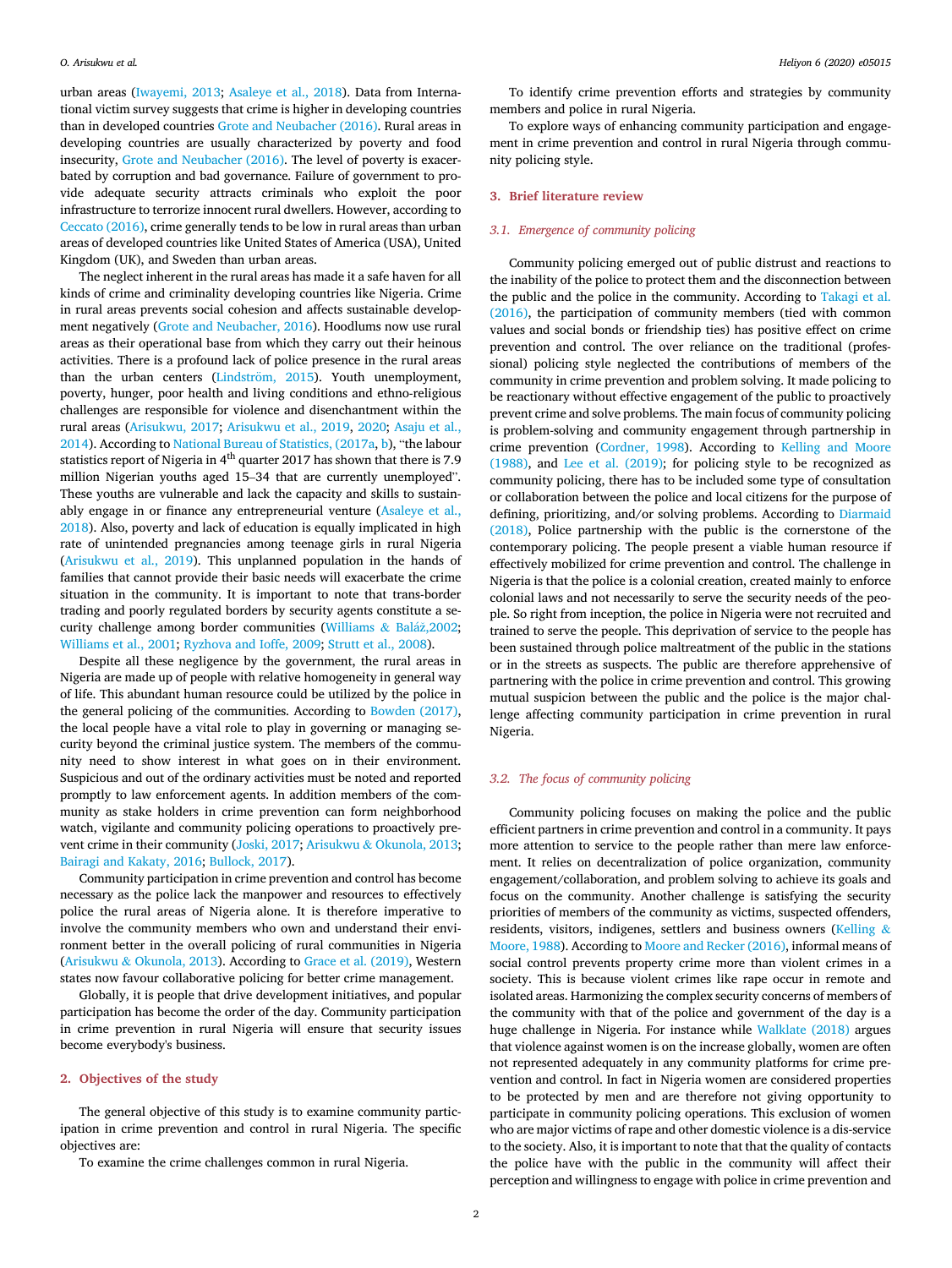urban areas [\(Iwayemi, 2013](#page-6-10); [Asaleye et al., 2018](#page-6-11)). Data from International victim survey suggests that crime is higher in developing countries than in developed countries [Grote and Neubacher \(2016\)](#page-6-9). Rural areas in developing countries are usually characterized by poverty and food insecurity, [Grote and Neubacher \(2016\).](#page-6-9) The level of poverty is exacerbated by corruption and bad governance. Failure of government to provide adequate security attracts criminals who exploit the poor infrastructure to terrorize innocent rural dwellers. However, according to [Ceccato \(2016\)](#page-6-12), crime generally tends to be low in rural areas than urban areas of developed countries like United States of America (USA), United Kingdom (UK), and Sweden than urban areas.

The neglect inherent in the rural areas has made it a safe haven for all kinds of crime and criminality developing countries like Nigeria. Crime in rural areas prevents social cohesion and affects sustainable development negatively ([Grote and Neubacher, 2016\)](#page-6-9). Hoodlums now use rural areas as their operational base from which they carry out their heinous activities. There is a profound lack of police presence in the rural areas than the urban centers (Lindström,  $2015$ ). Youth unemployment, poverty, hunger, poor health and living conditions and ethno-religious challenges are responsible for violence and disenchantment within the rural areas [\(Arisukwu, 2017](#page-6-14); [Arisukwu et al., 2019,](#page-6-15) [2020;](#page-6-16) [Asaju et al.,](#page-6-17) [2014\)](#page-6-17). According to [National Bureau of Statistics, \(2017a,](#page-6-18) [b\)](#page-6-19), "the labour statistics report of Nigeria in  $4<sup>th</sup>$  quarter 2017 has shown that there is 7.9 million Nigerian youths aged 15–34 that are currently unemployed". These youths are vulnerable and lack the capacity and skills to sustainably engage in or finance any entrepreneurial venture [\(Asaleye et al.,](#page-6-11) [2018\)](#page-6-11). Also, poverty and lack of education is equally implicated in high rate of unintended pregnancies among teenage girls in rural Nigeria ([Arisukwu et al., 2019\)](#page-6-15). This unplanned population in the hands of families that cannot provide their basic needs will exacerbate the crime situation in the community. It is important to note that trans-border trading and poorly regulated borders by security agents constitute a se-curity challenge among border communities ([Williams](#page-6-20) & [Bal](#page-6-20)áž[,2002;](#page-6-20) [Williams et al., 2001](#page-6-21); [Ryzhova and Ioffe, 2009;](#page-6-22) [Strutt et al., 2008](#page-6-23)).

Despite all these negligence by the government, the rural areas in Nigeria are made up of people with relative homogeneity in general way of life. This abundant human resource could be utilized by the police in the general policing of the communities. According to [Bowden \(2017\),](#page-6-24) the local people have a vital role to play in governing or managing security beyond the criminal justice system. The members of the community need to show interest in what goes on in their environment. Suspicious and out of the ordinary activities must be noted and reported promptly to law enforcement agents. In addition members of the community as stake holders in crime prevention can form neighborhood watch, vigilante and community policing operations to proactively pre-vent crime in their community ([Joski, 2017;](#page-6-25) [Arisukwu](#page-6-0) & [Okunola, 2013;](#page-6-0) [Bairagi and Kakaty, 2016](#page-6-26); [Bullock, 2017\)](#page-6-27).

Community participation in crime prevention and control has become necessary as the police lack the manpower and resources to effectively police the rural areas of Nigeria alone. It is therefore imperative to involve the community members who own and understand their environment better in the overall policing of rural communities in Nigeria ([Arisukwu](#page-6-0) & [Okunola, 2013](#page-6-0)). According to [Grace et al. \(2019\),](#page-6-28) Western states now favour collaborative policing for better crime management.

Globally, it is people that drive development initiatives, and popular participation has become the order of the day. Community participation in crime prevention in rural Nigeria will ensure that security issues become everybody's business.

## 2. Objectives of the study

The general objective of this study is to examine community participation in crime prevention and control in rural Nigeria. The specific objectives are:

To examine the crime challenges common in rural Nigeria.

To identify crime prevention efforts and strategies by community members and police in rural Nigeria.

To explore ways of enhancing community participation and engagement in crime prevention and control in rural Nigeria through community policing style.

## 3. Brief literature review

## 3.1. Emergence of community policing

Community policing emerged out of public distrust and reactions to the inability of the police to protect them and the disconnection between the public and the police in the community. According to [Takagi et al.](#page-6-29) [\(2016\)](#page-6-29), the participation of community members (tied with common values and social bonds or friendship ties) has positive effect on crime prevention and control. The over reliance on the traditional (professional) policing style neglected the contributions of members of the community in crime prevention and problem solving. It made policing to be reactionary without effective engagement of the public to proactively prevent crime and solve problems. The main focus of community policing is problem-solving and community engagement through partnership in crime prevention ([Cordner, 1998](#page-6-30)). According to [Kelling and Moore](#page-6-31) [\(1988\)](#page-6-31), and [Lee et al. \(2019\);](#page-6-32) for policing style to be recognized as community policing, there has to be included some type of consultation or collaboration between the police and local citizens for the purpose of defining, prioritizing, and/or solving problems. According to [Diarmaid](#page-6-33) [\(2018\)](#page-6-33), Police partnership with the public is the cornerstone of the contemporary policing. The people present a viable human resource if effectively mobilized for crime prevention and control. The challenge in Nigeria is that the police is a colonial creation, created mainly to enforce colonial laws and not necessarily to serve the security needs of the people. So right from inception, the police in Nigeria were not recruited and trained to serve the people. This deprivation of service to the people has been sustained through police maltreatment of the public in the stations or in the streets as suspects. The public are therefore apprehensive of partnering with the police in crime prevention and control. This growing mutual suspicion between the public and the police is the major challenge affecting community participation in crime prevention in rural Nigeria.

## 3.2. The focus of community policing

Community policing focuses on making the police and the public efficient partners in crime prevention and control in a community. It pays more attention to service to the people rather than mere law enforcement. It relies on decentralization of police organization, community engagement/collaboration, and problem solving to achieve its goals and focus on the community. Another challenge is satisfying the security priorities of members of the community as victims, suspected offenders, residents, visitors, indigenes, settlers and business owners [\(Kelling](#page-6-31) & [Moore, 1988\)](#page-6-31). According to [Moore and Recker \(2016\),](#page-6-34) informal means of social control prevents property crime more than violent crimes in a society. This is because violent crimes like rape occur in remote and isolated areas. Harmonizing the complex security concerns of members of the community with that of the police and government of the day is a huge challenge in Nigeria. For instance while [Walklate \(2018\)](#page-6-35) argues that violence against women is on the increase globally, women are often not represented adequately in any community platforms for crime prevention and control. In fact in Nigeria women are considered properties to be protected by men and are therefore not giving opportunity to participate in community policing operations. This exclusion of women who are major victims of rape and other domestic violence is a dis-service to the society. Also, it is important to note that that the quality of contacts the police have with the public in the community will affect their perception and willingness to engage with police in crime prevention and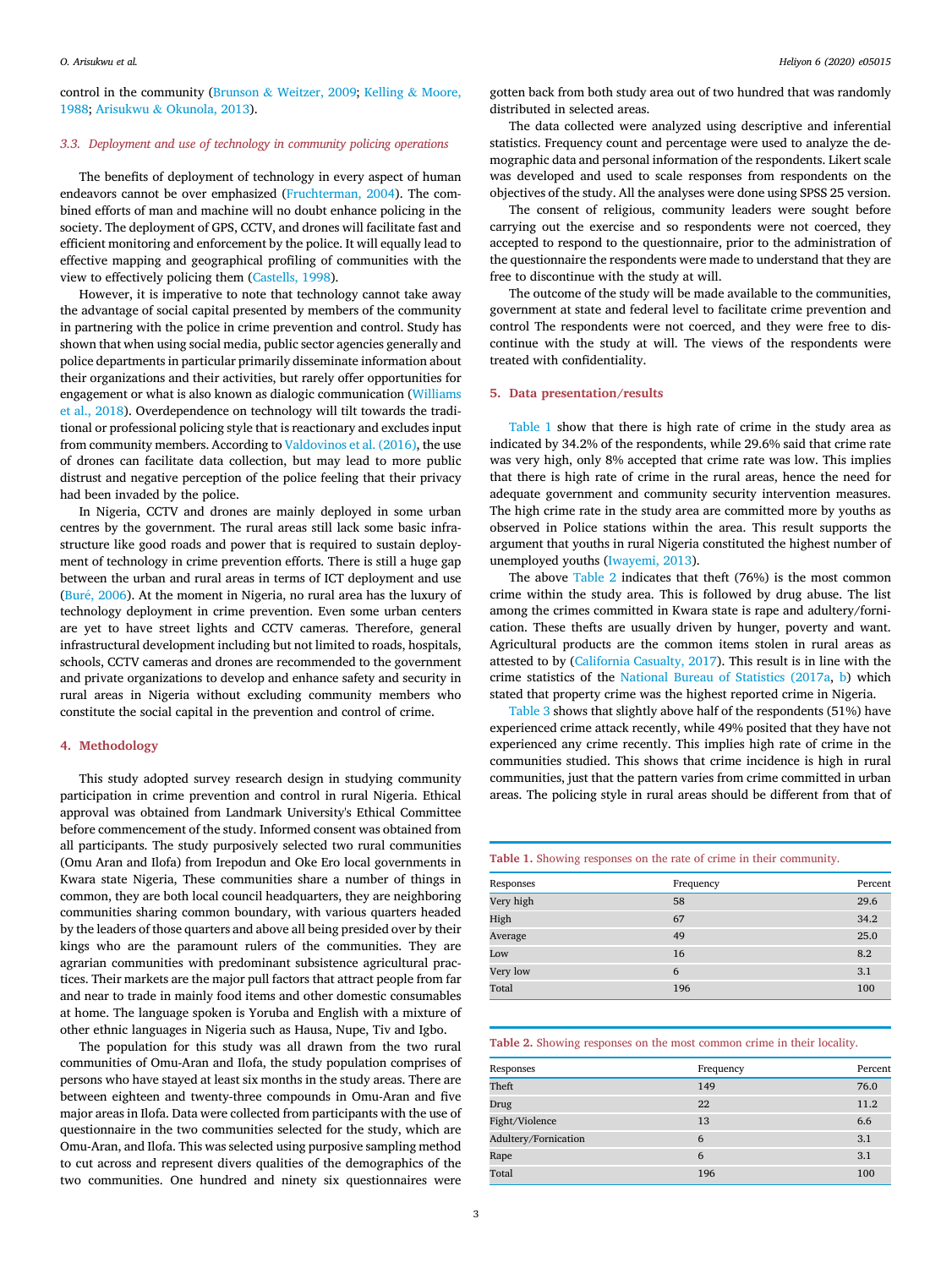O. Arisukwu et al. **Heliyon 6 (2020) e05015** Heliyon 6 (2020) e05015

control in the community [\(Brunson](#page-6-36) & [Weitzer, 2009](#page-6-36); [Kelling](#page-6-31) & [Moore,](#page-6-31) [1988;](#page-6-31) [Arisukwu](#page-6-0) & [Okunola, 2013](#page-6-0)).

## 3.3. Deployment and use of technology in community policing operations

The benefits of deployment of technology in every aspect of human endeavors cannot be over emphasized [\(Fruchterman, 2004](#page-6-37)). The combined efforts of man and machine will no doubt enhance policing in the society. The deployment of GPS, CCTV, and drones will facilitate fast and efficient monitoring and enforcement by the police. It will equally lead to effective mapping and geographical profiling of communities with the view to effectively policing them [\(Castells, 1998\)](#page-6-38).

However, it is imperative to note that technology cannot take away the advantage of social capital presented by members of the community in partnering with the police in crime prevention and control. Study has shown that when using social media, public sector agencies generally and police departments in particular primarily disseminate information about their organizations and their activities, but rarely offer opportunities for engagement or what is also known as dialogic communication [\(Williams](#page-6-39) [et al., 2018](#page-6-39)). Overdependence on technology will tilt towards the traditional or professional policing style that is reactionary and excludes input from community members. According to [Valdovinos et al. \(2016\),](#page-6-40) the use of drones can facilitate data collection, but may lead to more public distrust and negative perception of the police feeling that their privacy had been invaded by the police.

In Nigeria, CCTV and drones are mainly deployed in some urban centres by the government. The rural areas still lack some basic infrastructure like good roads and power that is required to sustain deployment of technology in crime prevention efforts. There is still a huge gap between the urban and rural areas in terms of ICT deployment and use ([Bur](#page-6-41)é[, 2006](#page-6-41)). At the moment in Nigeria, no rural area has the luxury of technology deployment in crime prevention. Even some urban centers are yet to have street lights and CCTV cameras. Therefore, general infrastructural development including but not limited to roads, hospitals, schools, CCTV cameras and drones are recommended to the government and private organizations to develop and enhance safety and security in rural areas in Nigeria without excluding community members who constitute the social capital in the prevention and control of crime.

## 4. Methodology

This study adopted survey research design in studying community participation in crime prevention and control in rural Nigeria. Ethical approval was obtained from Landmark University's Ethical Committee before commencement of the study. Informed consent was obtained from all participants. The study purposively selected two rural communities (Omu Aran and Ilofa) from Irepodun and Oke Ero local governments in Kwara state Nigeria, These communities share a number of things in common, they are both local council headquarters, they are neighboring communities sharing common boundary, with various quarters headed by the leaders of those quarters and above all being presided over by their kings who are the paramount rulers of the communities. They are agrarian communities with predominant subsistence agricultural practices. Their markets are the major pull factors that attract people from far and near to trade in mainly food items and other domestic consumables at home. The language spoken is Yoruba and English with a mixture of other ethnic languages in Nigeria such as Hausa, Nupe, Tiv and Igbo.

The population for this study was all drawn from the two rural communities of Omu-Aran and Ilofa, the study population comprises of persons who have stayed at least six months in the study areas. There are between eighteen and twenty-three compounds in Omu-Aran and five major areas in Ilofa. Data were collected from participants with the use of questionnaire in the two communities selected for the study, which are Omu-Aran, and Ilofa. This was selected using purposive sampling method to cut across and represent divers qualities of the demographics of the two communities. One hundred and ninety six questionnaires were

gotten back from both study area out of two hundred that was randomly distributed in selected areas.

The data collected were analyzed using descriptive and inferential statistics. Frequency count and percentage were used to analyze the demographic data and personal information of the respondents. Likert scale was developed and used to scale responses from respondents on the objectives of the study. All the analyses were done using SPSS 25 version.

The consent of religious, community leaders were sought before carrying out the exercise and so respondents were not coerced, they accepted to respond to the questionnaire, prior to the administration of the questionnaire the respondents were made to understand that they are free to discontinue with the study at will.

The outcome of the study will be made available to the communities, government at state and federal level to facilitate crime prevention and control The respondents were not coerced, and they were free to discontinue with the study at will. The views of the respondents were treated with confidentiality.

## 5. Data presentation/results

[Table 1](#page-2-0) show that there is high rate of crime in the study area as indicated by 34.2% of the respondents, while 29.6% said that crime rate was very high, only 8% accepted that crime rate was low. This implies that there is high rate of crime in the rural areas, hence the need for adequate government and community security intervention measures. The high crime rate in the study area are committed more by youths as observed in Police stations within the area. This result supports the argument that youths in rural Nigeria constituted the highest number of unemployed youths ([Iwayemi, 2013\)](#page-6-10).

The above [Table 2](#page-2-1) indicates that theft (76%) is the most common crime within the study area. This is followed by drug abuse. The list among the crimes committed in Kwara state is rape and adultery/fornication. These thefts are usually driven by hunger, poverty and want. Agricultural products are the common items stolen in rural areas as attested to by ([California Casualty, 2017\)](#page-6-4). This result is in line with the crime statistics of the [National Bureau of Statistics \(2017a,](#page-6-18) [b\)](#page-6-19) which stated that property crime was the highest reported crime in Nigeria.

[Table 3](#page-3-0) shows that slightly above half of the respondents (51%) have experienced crime attack recently, while 49% posited that they have not experienced any crime recently. This implies high rate of crime in the communities studied. This shows that crime incidence is high in rural communities, just that the pattern varies from crime committed in urban areas. The policing style in rural areas should be different from that of

<span id="page-2-0"></span>Table 1. Showing responses on the rate of crime in their community.

| Responses | Frequency | Percent |
|-----------|-----------|---------|
| Very high | 58        | 29.6    |
| High      | 67        | 34.2    |
| Average   | 49        | 25.0    |
| Low       | 16        | 8.2     |
| Very low  | 6         | 3.1     |
| Total     | 196       | 100     |
|           |           |         |

<span id="page-2-1"></span>Table 2. Showing responses on the most common crime in their locality.

| Responses            | Frequency | Percent |
|----------------------|-----------|---------|
| Theft                | 149       | 76.0    |
| Drug                 | 22        | 11.2    |
| Fight/Violence       | 13        | 6.6     |
| Adultery/Fornication | 6         | 3.1     |
| Rape                 | 6         | 3.1     |
| Total                | 196       | 100     |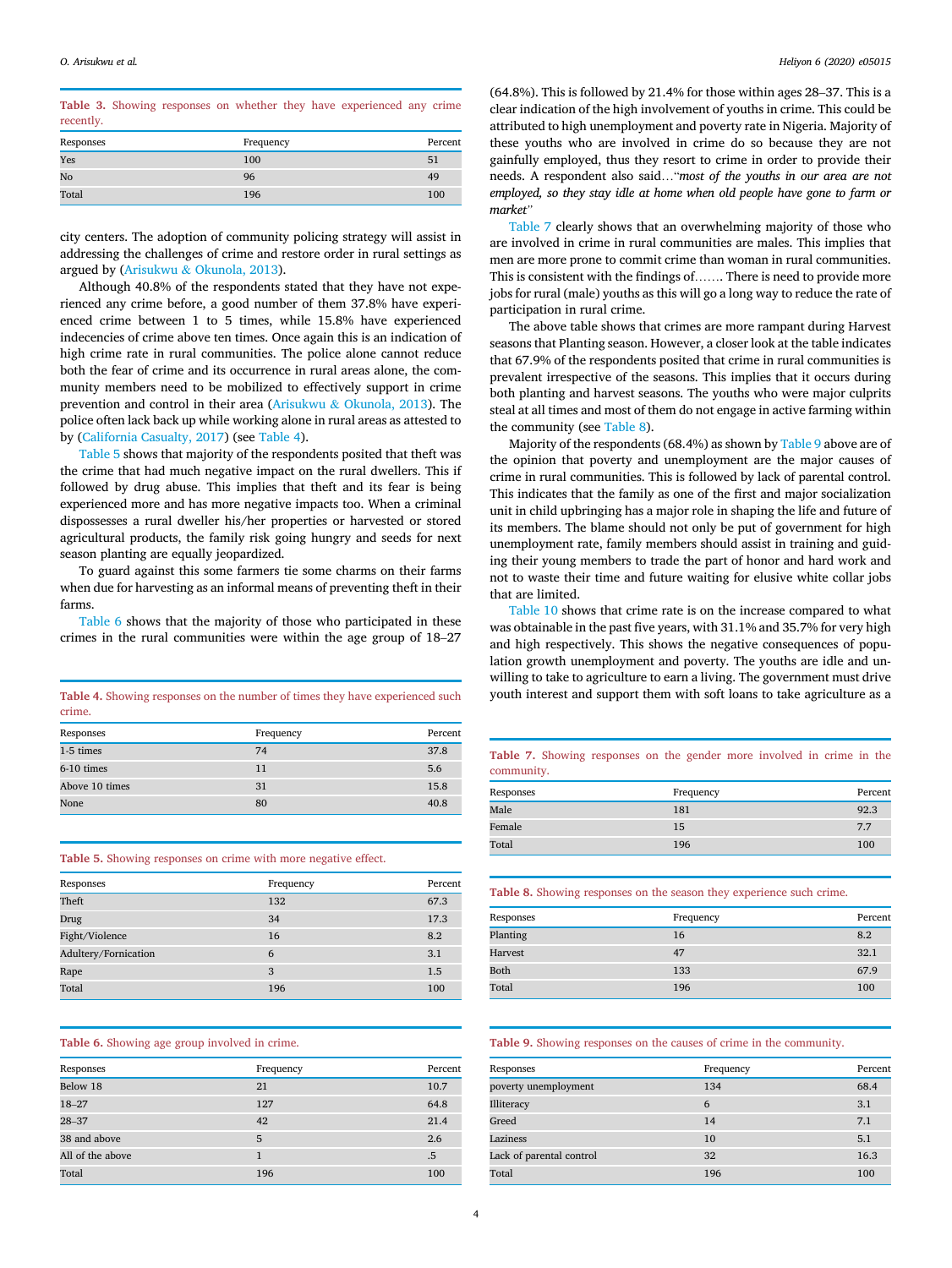<span id="page-3-0"></span>Table 3. Showing responses on whether they have experienced any crime recently.

| Responses | Frequency | Percent |
|-----------|-----------|---------|
| Yes       | 100       | 51      |
| No        | 96        | 49      |
| Total     | 196       | 100     |

city centers. The adoption of community policing strategy will assist in addressing the challenges of crime and restore order in rural settings as argued by ([Arisukwu](#page-6-0) & [Okunola, 2013](#page-6-0)).

Although 40.8% of the respondents stated that they have not experienced any crime before, a good number of them 37.8% have experienced crime between 1 to 5 times, while 15.8% have experienced indecencies of crime above ten times. Once again this is an indication of high crime rate in rural communities. The police alone cannot reduce both the fear of crime and its occurrence in rural areas alone, the community members need to be mobilized to effectively support in crime prevention and control in their area ([Arisukwu](#page-6-0) & [Okunola, 2013\)](#page-6-0). The police often lack back up while working alone in rural areas as attested to by ([California Casualty, 2017](#page-6-4)) (see [Table 4](#page-3-1)).

[Table 5](#page-3-2) shows that majority of the respondents posited that theft was the crime that had much negative impact on the rural dwellers. This if followed by drug abuse. This implies that theft and its fear is being experienced more and has more negative impacts too. When a criminal dispossesses a rural dweller his/her properties or harvested or stored agricultural products, the family risk going hungry and seeds for next season planting are equally jeopardized.

To guard against this some farmers tie some charms on their farms when due for harvesting as an informal means of preventing theft in their farms.

[Table 6](#page-3-3) shows that the majority of those who participated in these crimes in the rural communities were within the age group of 18–27

<span id="page-3-1"></span>crime.

| Responses      | Frequency | Percent |
|----------------|-----------|---------|
| 1-5 times      | 74        | 37.8    |
| $6-10$ times   | 11        | 5.6     |
| Above 10 times | 31        | 15.8    |
| None           | 80        | 40.8    |

<span id="page-3-2"></span>Table 5. Showing responses on crime with more negative effect.

| Responses            | Frequency | Percent |
|----------------------|-----------|---------|
| Theft                | 132       | 67.3    |
| Drug                 | 34        | 17.3    |
| Fight/Violence       | 16        | 8.2     |
| Adultery/Fornication | 6         | 3.1     |
| Rape                 | 3         | 1.5     |
| Total                | 196       | 100     |

#### <span id="page-3-3"></span>Table 6. Showing age group involved in crime.

| Responses        | Frequency | Percent |
|------------------|-----------|---------|
| Below 18         | 21        | 10.7    |
| $18 - 27$        | 127       | 64.8    |
| $28 - 37$        | 42        | 21.4    |
| 38 and above     | 5         | 2.6     |
| All of the above |           | .5      |
| Total            | 196       | 100     |

(64.8%). This is followed by 21.4% for those within ages 28–37. This is a clear indication of the high involvement of youths in crime. This could be attributed to high unemployment and poverty rate in Nigeria. Majority of these youths who are involved in crime do so because they are not gainfully employed, thus they resort to crime in order to provide their needs. A respondent also said…"most of the youths in our area are not employed, so they stay idle at home when old people have gone to farm or market"

[Table 7](#page-3-4) clearly shows that an overwhelming majority of those who are involved in crime in rural communities are males. This implies that men are more prone to commit crime than woman in rural communities. This is consistent with the findings of……. There is need to provide more jobs for rural (male) youths as this will go a long way to reduce the rate of participation in rural crime.

The above table shows that crimes are more rampant during Harvest seasons that Planting season. However, a closer look at the table indicates that 67.9% of the respondents posited that crime in rural communities is prevalent irrespective of the seasons. This implies that it occurs during both planting and harvest seasons. The youths who were major culprits steal at all times and most of them do not engage in active farming within the community (see [Table 8](#page-3-5)).

Majority of the respondents (68.4%) as shown by [Table 9](#page-3-6) above are of the opinion that poverty and unemployment are the major causes of crime in rural communities. This is followed by lack of parental control. This indicates that the family as one of the first and major socialization unit in child upbringing has a major role in shaping the life and future of its members. The blame should not only be put of government for high unemployment rate, family members should assist in training and guiding their young members to trade the part of honor and hard work and not to waste their time and future waiting for elusive white collar jobs that are limited.

[Table 10](#page-4-0) shows that crime rate is on the increase compared to what was obtainable in the past five years, with 31.1% and 35.7% for very high and high respectively. This shows the negative consequences of population growth unemployment and poverty. The youths are idle and unwilling to take to agriculture to earn a living. The government must drive Table 4. Showing responses on the number of times they have experienced such youth interest and support them with soft loans to take agriculture as a

> <span id="page-3-4"></span>Table 7. Showing responses on the gender more involved in crime in the community.

| Responses | Frequency | Percent |
|-----------|-----------|---------|
| Male      | 181       | 92.3    |
| Female    | 15        | 7.7     |
| Total     | 196       | 100     |

<span id="page-3-5"></span>

|  |  |  |  |  |  |  | Table 8. Showing responses on the season they experience such crime. |  |  |
|--|--|--|--|--|--|--|----------------------------------------------------------------------|--|--|
|--|--|--|--|--|--|--|----------------------------------------------------------------------|--|--|

| Responses | Frequency | Percent |
|-----------|-----------|---------|
| Planting  | 16        | 8.2     |
| Harvest   | 47        | 32.1    |
| Both      | 133       | 67.9    |
| Total     | 196       | 100     |

#### <span id="page-3-6"></span>Table 9. Showing responses on the causes of crime in the community.

| Responses                | Frequency | Percent |
|--------------------------|-----------|---------|
| poverty unemployment     | 134       | 68.4    |
| Illiteracy               | 6         | 3.1     |
| Greed                    | 14        | 7.1     |
| Laziness                 | 10        | 5.1     |
| Lack of parental control | 32        | 16.3    |
| Total                    | 196       | 100     |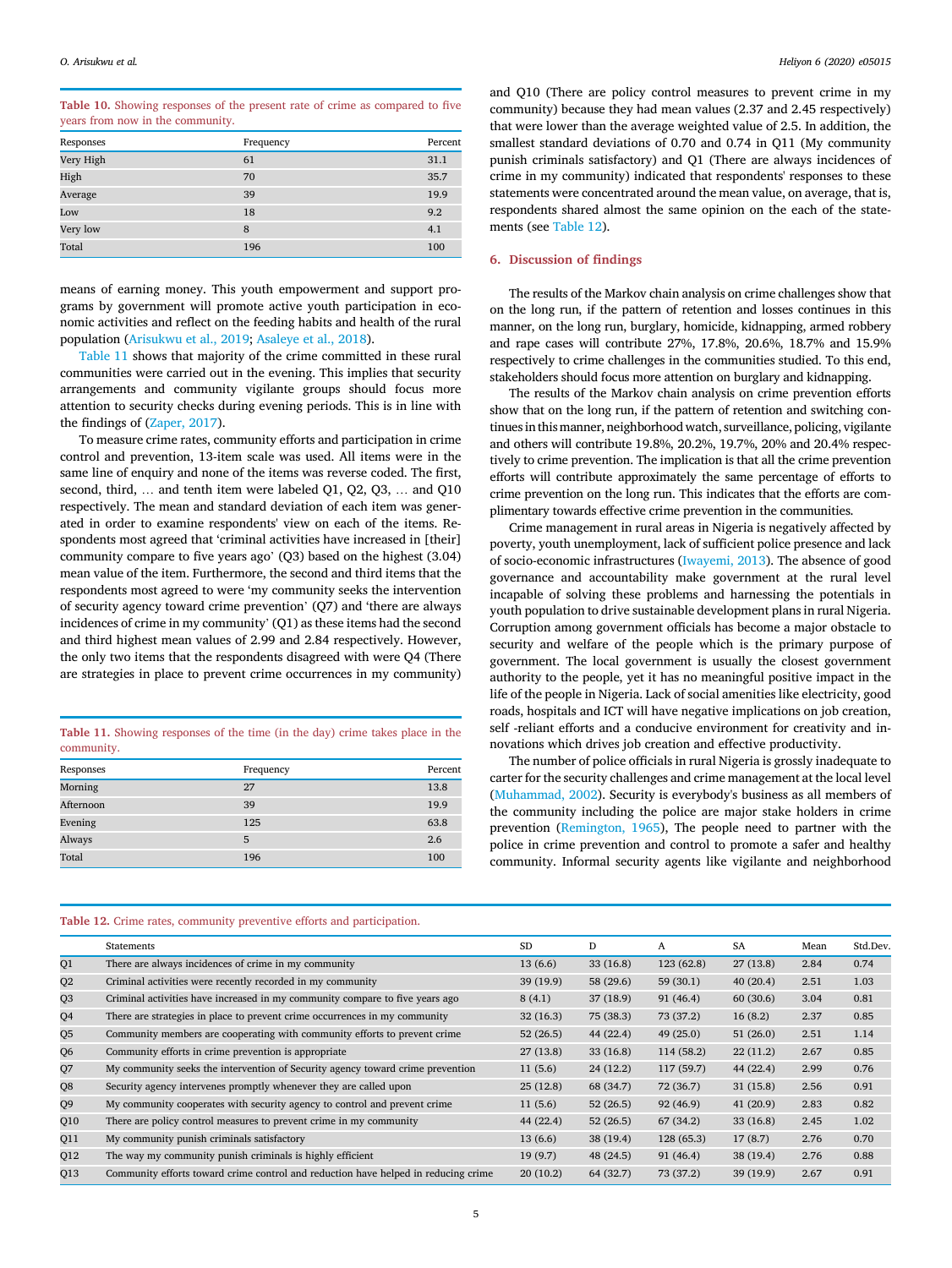O. Arisukwu et al. **Heliyon 6 (2020) e05015** Heliyon 6 (2020) e05015

<span id="page-4-0"></span>

| Table 10. Showing responses of the present rate of crime as compared to five |  |  |  |
|------------------------------------------------------------------------------|--|--|--|
| years from now in the community.                                             |  |  |  |

| Responses | Frequency | Percent |
|-----------|-----------|---------|
| Very High | 61        | 31.1    |
| High      | 70        | 35.7    |
| Average   | 39        | 19.9    |
| Low       | 18        | 9.2     |
| Very low  | 8         | 4.1     |
| Total     | 196       | 100     |

means of earning money. This youth empowerment and support programs by government will promote active youth participation in economic activities and reflect on the feeding habits and health of the rural population ([Arisukwu et al., 2019](#page-6-15); [Asaleye et al., 2018](#page-6-11)).

[Table 11](#page-4-1) shows that majority of the crime committed in these rural communities were carried out in the evening. This implies that security arrangements and community vigilante groups should focus more attention to security checks during evening periods. This is in line with the findings of ([Zaper, 2017](#page-6-42)).

To measure crime rates, community efforts and participation in crime control and prevention, 13-item scale was used. All items were in the same line of enquiry and none of the items was reverse coded. The first, second, third, … and tenth item were labeled Q1, Q2, Q3, … and Q10 respectively. The mean and standard deviation of each item was generated in order to examine respondents' view on each of the items. Respondents most agreed that 'criminal activities have increased in [their] community compare to five years ago' (Q3) based on the highest (3.04) mean value of the item. Furthermore, the second and third items that the respondents most agreed to were 'my community seeks the intervention of security agency toward crime prevention' (Q7) and 'there are always incidences of crime in my community' (Q1) as these items had the second and third highest mean values of 2.99 and 2.84 respectively. However, the only two items that the respondents disagreed with were Q4 (There are strategies in place to prevent crime occurrences in my community)

<span id="page-4-1"></span>Table 11. Showing responses of the time (in the day) crime takes place in the community.

| Responses | Frequency | Percent |
|-----------|-----------|---------|
| Morning   | 27        | 13.8    |
| Afternoon | 39        | 19.9    |
| Evening   | 125       | 63.8    |
| Always    | 5         | 2.6     |
| Total     | 196       | 100     |

and Q10 (There are policy control measures to prevent crime in my community) because they had mean values (2.37 and 2.45 respectively) that were lower than the average weighted value of 2.5. In addition, the smallest standard deviations of 0.70 and 0.74 in Q11 (My community punish criminals satisfactory) and Q1 (There are always incidences of crime in my community) indicated that respondents' responses to these statements were concentrated around the mean value, on average, that is, respondents shared almost the same opinion on the each of the statements (see [Table 12\)](#page-4-2).

#### 6. Discussion of findings

The results of the Markov chain analysis on crime challenges show that on the long run, if the pattern of retention and losses continues in this manner, on the long run, burglary, homicide, kidnapping, armed robbery and rape cases will contribute 27%, 17.8%, 20.6%, 18.7% and 15.9% respectively to crime challenges in the communities studied. To this end, stakeholders should focus more attention on burglary and kidnapping.

The results of the Markov chain analysis on crime prevention efforts show that on the long run, if the pattern of retention and switching continues in this manner, neighborhood watch, surveillance, policing, vigilante and others will contribute 19.8%, 20.2%, 19.7%, 20% and 20.4% respectively to crime prevention. The implication is that all the crime prevention efforts will contribute approximately the same percentage of efforts to crime prevention on the long run. This indicates that the efforts are complimentary towards effective crime prevention in the communities.

Crime management in rural areas in Nigeria is negatively affected by poverty, youth unemployment, lack of sufficient police presence and lack of socio-economic infrastructures [\(Iwayemi, 2013](#page-6-10)). The absence of good governance and accountability make government at the rural level incapable of solving these problems and harnessing the potentials in youth population to drive sustainable development plans in rural Nigeria. Corruption among government officials has become a major obstacle to security and welfare of the people which is the primary purpose of government. The local government is usually the closest government authority to the people, yet it has no meaningful positive impact in the life of the people in Nigeria. Lack of social amenities like electricity, good roads, hospitals and ICT will have negative implications on job creation, self -reliant efforts and a conducive environment for creativity and innovations which drives job creation and effective productivity.

The number of police officials in rural Nigeria is grossly inadequate to carter for the security challenges and crime management at the local level ([Muhammad, 2002\)](#page-6-2). Security is everybody's business as all members of the community including the police are major stake holders in crime prevention [\(Remington, 1965](#page-6-1)), The people need to partner with the police in crime prevention and control to promote a safer and healthy community. Informal security agents like vigilante and neighborhood

## <span id="page-4-2"></span>Table 12. Crime rates, community preventive efforts and participation.

|                | Statements                                                                         | <b>SD</b> | D         | A         | SA       | Mean | Std.Dev |
|----------------|------------------------------------------------------------------------------------|-----------|-----------|-----------|----------|------|---------|
| Q1             | There are always incidences of crime in my community                               | 13(6.6)   | 33(16.8)  | 123(62.8) | 27(13.8) | 2.84 | 0.74    |
| Q <sub>2</sub> | Criminal activities were recently recorded in my community                         | 39(19.9)  | 58 (29.6) | 59(30.1)  | 40(20.4) | 2.51 | 1.03    |
| Q <sub>3</sub> | Criminal activities have increased in my community compare to five years ago       | 8(4.1)    | 37(18.9)  | 91(46.4)  | 60(30.6) | 3.04 | 0.81    |
| Q4             | There are strategies in place to prevent crime occurrences in my community         | 32(16.3)  | 75 (38.3) | 73 (37.2) | 16(8.2)  | 2.37 | 0.85    |
| Q <sub>5</sub> | Community members are cooperating with community efforts to prevent crime          | 52(26.5)  | 44(22.4)  | 49(25.0)  | 51(26.0) | 2.51 | 1.14    |
| Q <sub>6</sub> | Community efforts in crime prevention is appropriate                               | 27(13.8)  | 33(16.8)  | 114(58.2) | 22(11.2) | 2.67 | 0.85    |
| Q7             | My community seeks the intervention of Security agency toward crime prevention     | 11(5.6)   | 24(12.2)  | 117(59.7) | 44(22.4) | 2.99 | 0.76    |
| Q8             | Security agency intervenes promptly whenever they are called upon                  | 25(12.8)  | 68 (34.7) | 72 (36.7) | 31(15.8) | 2.56 | 0.91    |
| Q9             | My community cooperates with security agency to control and prevent crime          | 11(5.6)   | 52(26.5)  | 92(46.9)  | 41(20.9) | 2.83 | 0.82    |
| Q10            | There are policy control measures to prevent crime in my community                 | 44 (22.4) | 52(26.5)  | 67(34.2)  | 33(16.8) | 2.45 | 1.02    |
| Q11            | My community punish criminals satisfactory                                         | 13(6.6)   | 38(19.4)  | 128(65.3) | 17(8.7)  | 2.76 | 0.70    |
| Q12            | The way my community punish criminals is highly efficient                          | 19(9.7)   | 48 (24.5) | 91(46.4)  | 38(19.4) | 2.76 | 0.88    |
| Q13            | Community efforts toward crime control and reduction have helped in reducing crime | 20(10.2)  | 64 (32.7) | 73 (37.2) | 39(19.9) | 2.67 | 0.91    |
|                |                                                                                    |           |           |           |          |      |         |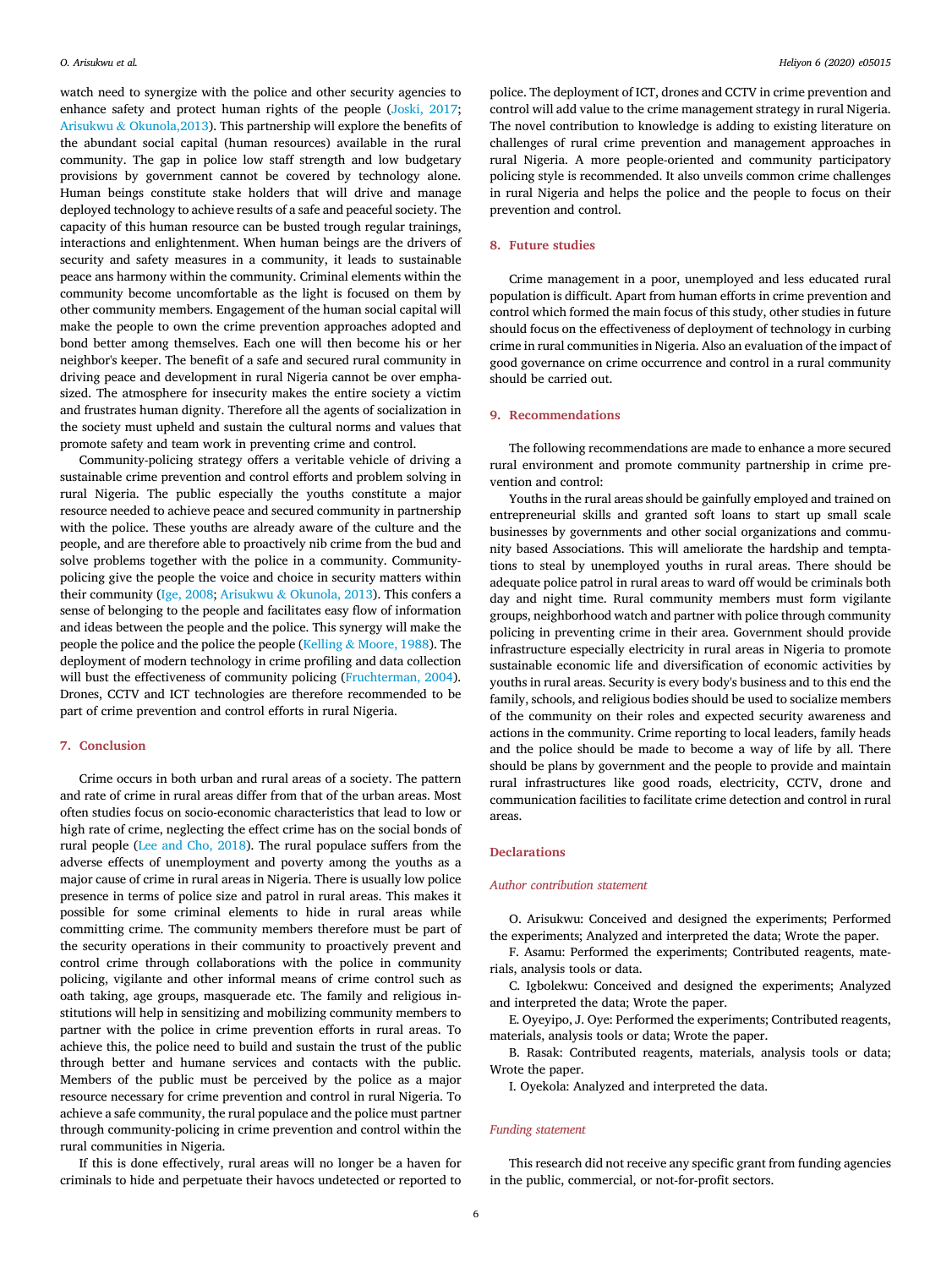watch need to synergize with the police and other security agencies to enhance safety and protect human rights of the people [\(Joski, 2017;](#page-6-25) [Arisukwu](#page-6-0) & [Okunola,2013\)](#page-6-0). This partnership will explore the benefits of the abundant social capital (human resources) available in the rural community. The gap in police low staff strength and low budgetary provisions by government cannot be covered by technology alone. Human beings constitute stake holders that will drive and manage deployed technology to achieve results of a safe and peaceful society. The capacity of this human resource can be busted trough regular trainings, interactions and enlightenment. When human beings are the drivers of security and safety measures in a community, it leads to sustainable peace ans harmony within the community. Criminal elements within the community become uncomfortable as the light is focused on them by other community members. Engagement of the human social capital will make the people to own the crime prevention approaches adopted and bond better among themselves. Each one will then become his or her neighbor's keeper. The benefit of a safe and secured rural community in driving peace and development in rural Nigeria cannot be over emphasized. The atmosphere for insecurity makes the entire society a victim and frustrates human dignity. Therefore all the agents of socialization in the society must upheld and sustain the cultural norms and values that promote safety and team work in preventing crime and control.

Community-policing strategy offers a veritable vehicle of driving a sustainable crime prevention and control efforts and problem solving in rural Nigeria. The public especially the youths constitute a major resource needed to achieve peace and secured community in partnership with the police. These youths are already aware of the culture and the people, and are therefore able to proactively nib crime from the bud and solve problems together with the police in a community. Communitypolicing give the people the voice and choice in security matters within their community ([Ige, 2008;](#page-6-43) [Arisukwu](#page-6-0) & [Okunola, 2013](#page-6-0)). This confers a sense of belonging to the people and facilitates easy flow of information and ideas between the people and the police. This synergy will make the people the police and the police the people ([Kelling](#page-6-31) & [Moore, 1988\)](#page-6-31). The deployment of modern technology in crime profiling and data collection will bust the effectiveness of community policing [\(Fruchterman, 2004\)](#page-6-37). Drones, CCTV and ICT technologies are therefore recommended to be part of crime prevention and control efforts in rural Nigeria.

## 7. Conclusion

Crime occurs in both urban and rural areas of a society. The pattern and rate of crime in rural areas differ from that of the urban areas. Most often studies focus on socio-economic characteristics that lead to low or high rate of crime, neglecting the effect crime has on the social bonds of rural people ([Lee and Cho, 2018\)](#page-6-44). The rural populace suffers from the adverse effects of unemployment and poverty among the youths as a major cause of crime in rural areas in Nigeria. There is usually low police presence in terms of police size and patrol in rural areas. This makes it possible for some criminal elements to hide in rural areas while committing crime. The community members therefore must be part of the security operations in their community to proactively prevent and control crime through collaborations with the police in community policing, vigilante and other informal means of crime control such as oath taking, age groups, masquerade etc. The family and religious institutions will help in sensitizing and mobilizing community members to partner with the police in crime prevention efforts in rural areas. To achieve this, the police need to build and sustain the trust of the public through better and humane services and contacts with the public. Members of the public must be perceived by the police as a major resource necessary for crime prevention and control in rural Nigeria. To achieve a safe community, the rural populace and the police must partner through community-policing in crime prevention and control within the rural communities in Nigeria.

If this is done effectively, rural areas will no longer be a haven for criminals to hide and perpetuate their havocs undetected or reported to

police. The deployment of ICT, drones and CCTV in crime prevention and control will add value to the crime management strategy in rural Nigeria. The novel contribution to knowledge is adding to existing literature on challenges of rural crime prevention and management approaches in rural Nigeria. A more people-oriented and community participatory policing style is recommended. It also unveils common crime challenges in rural Nigeria and helps the police and the people to focus on their prevention and control.

## 8. Future studies

Crime management in a poor, unemployed and less educated rural population is difficult. Apart from human efforts in crime prevention and control which formed the main focus of this study, other studies in future should focus on the effectiveness of deployment of technology in curbing crime in rural communities in Nigeria. Also an evaluation of the impact of good governance on crime occurrence and control in a rural community should be carried out.

## 9. Recommendations

The following recommendations are made to enhance a more secured rural environment and promote community partnership in crime prevention and control:

Youths in the rural areas should be gainfully employed and trained on entrepreneurial skills and granted soft loans to start up small scale businesses by governments and other social organizations and community based Associations. This will ameliorate the hardship and temptations to steal by unemployed youths in rural areas. There should be adequate police patrol in rural areas to ward off would be criminals both day and night time. Rural community members must form vigilante groups, neighborhood watch and partner with police through community policing in preventing crime in their area. Government should provide infrastructure especially electricity in rural areas in Nigeria to promote sustainable economic life and diversification of economic activities by youths in rural areas. Security is every body's business and to this end the family, schools, and religious bodies should be used to socialize members of the community on their roles and expected security awareness and actions in the community. Crime reporting to local leaders, family heads and the police should be made to become a way of life by all. There should be plans by government and the people to provide and maintain rural infrastructures like good roads, electricity, CCTV, drone and communication facilities to facilitate crime detection and control in rural areas.

#### **Declarations**

#### Author contribution statement

O. Arisukwu: Conceived and designed the experiments; Performed the experiments; Analyzed and interpreted the data; Wrote the paper.

F. Asamu: Performed the experiments; Contributed reagents, materials, analysis tools or data.

C. Igbolekwu: Conceived and designed the experiments; Analyzed and interpreted the data; Wrote the paper.

E. Oyeyipo, J. Oye: Performed the experiments; Contributed reagents, materials, analysis tools or data; Wrote the paper.

B. Rasak: Contributed reagents, materials, analysis tools or data; Wrote the paper.

I. Oyekola: Analyzed and interpreted the data.

## Funding statement

This research did not receive any specific grant from funding agencies in the public, commercial, or not-for-profit sectors.